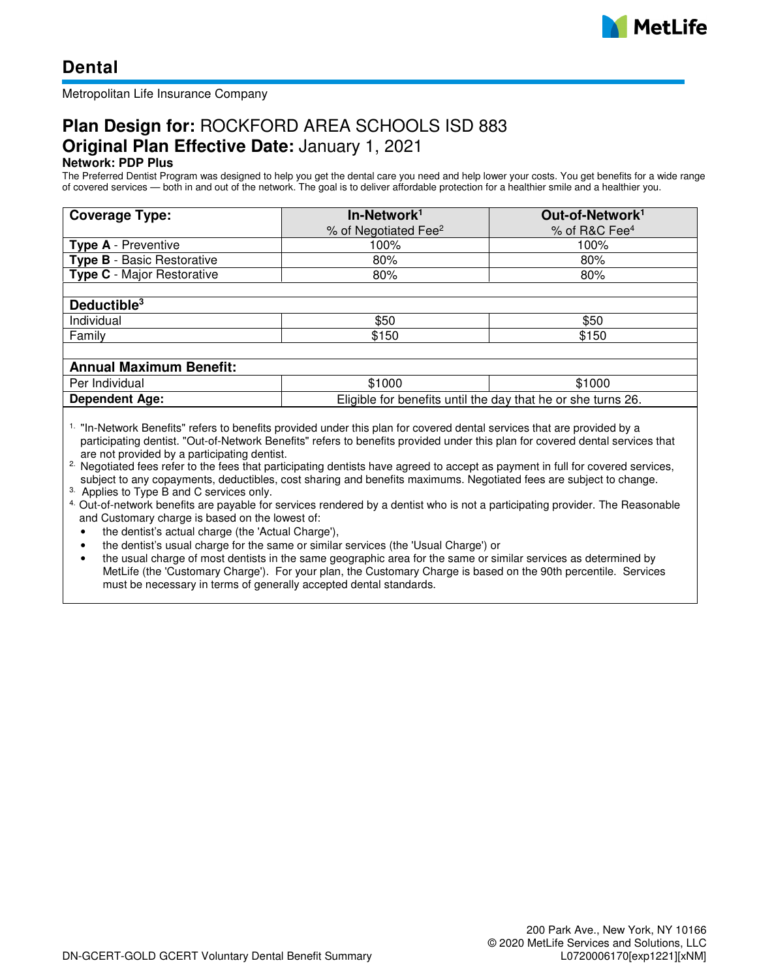

Metropolitan Life Insurance Company

# **Plan Design for:** ROCKFORD AREA SCHOOLS ISD 883 **Original Plan Effective Date:** January 1, 2021

# **Network: PDP Plus**

The Preferred Dentist Program was designed to help you get the dental care you need and help lower your costs. You get benefits for a wide range of covered services — both in and out of the network. The goal is to deliver affordable protection for a healthier smile and a healthier you.

| <b>Coverage Type:</b>             | In-Network <sup>1</sup>          | Out-of-Network <sup>1</sup> |  |  |
|-----------------------------------|----------------------------------|-----------------------------|--|--|
|                                   | % of Negotiated Fee <sup>2</sup> | % of R&C Fee <sup>4</sup>   |  |  |
| <b>Type A</b> - Preventive        | 100%                             | 100%                        |  |  |
| <b>Type B</b> - Basic Restorative | 80%                              | 80%                         |  |  |
| <b>Type C</b> - Major Restorative | 80%                              | 80%                         |  |  |
|                                   |                                  |                             |  |  |
| Deductible <sup>3</sup>           |                                  |                             |  |  |
| Individual                        | \$50                             | \$50                        |  |  |
| Family                            | \$150                            | \$150                       |  |  |
|                                   |                                  |                             |  |  |
| <b>Annual Maximum Benefit:</b>    |                                  |                             |  |  |

| $\overline{\phantom{a}}$ |                                                                 |        |
|--------------------------|-----------------------------------------------------------------|--------|
| Per<br>Individual        | \$1000                                                          | \$1000 |
| <b>Dependent Age:</b>    | Eliaible<br>for benefits until the day that he or she turns 26. |        |

<sup>1.</sup> "In-Network Benefits" refers to benefits provided under this plan for covered dental services that are provided by a participating dentist. "Out-of-Network Benefits" refers to benefits provided under this plan for covered dental services that are not provided by a participating dentist.

<sup>2.</sup> Negotiated fees refer to the fees that participating dentists have agreed to accept as payment in full for covered services, subject to any copayments, deductibles, cost sharing and benefits maximums. Negotiated fees are subject to change.

3. Applies to Type B and C services only.

- 4. Out-of-network benefits are payable for services rendered by a dentist who is not a participating provider. The Reasonable and Customary charge is based on the lowest of:
	- the dentist's actual charge (the 'Actual Charge'),
	- the dentist's usual charge for the same or similar services (the 'Usual Charge') or
	- the usual charge of most dentists in the same geographic area for the same or similar services as determined by MetLife (the 'Customary Charge'). For your plan, the Customary Charge is based on the 90th percentile. Services must be necessary in terms of generally accepted dental standards.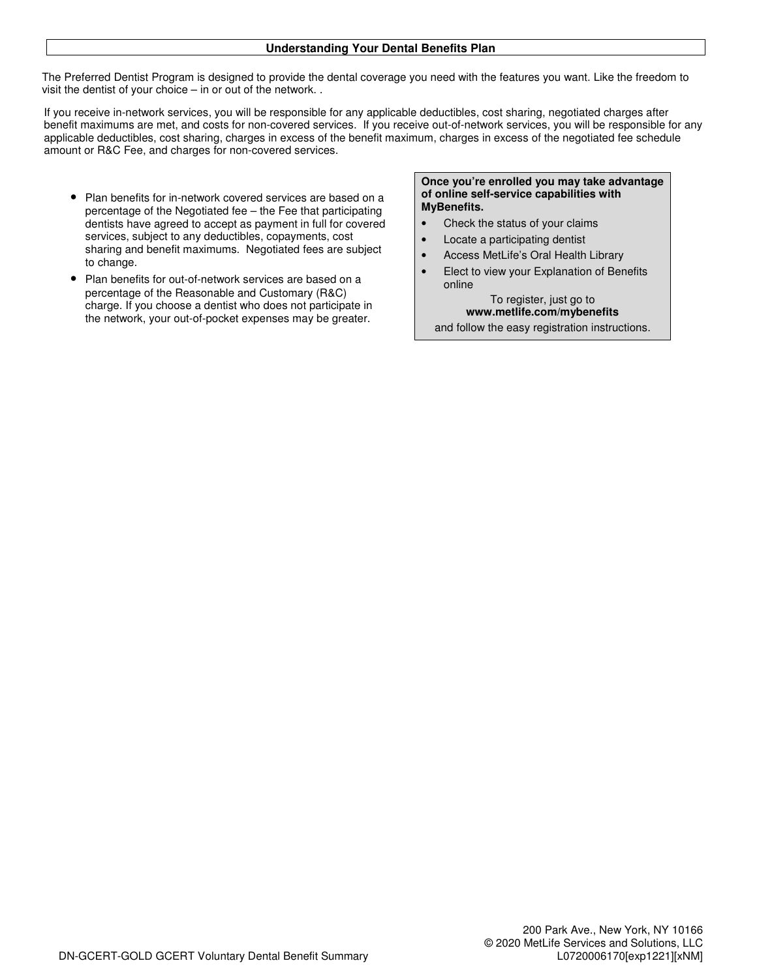## **Understanding Your Dental Benefits Plan**

The Preferred Dentist Program is designed to provide the dental coverage you need with the features you want. Like the freedom to visit the dentist of your choice – in or out of the network. .

If you receive in-network services, you will be responsible for any applicable deductibles, cost sharing, negotiated charges after benefit maximums are met, and costs for non-covered services. If you receive out-of-network services, you will be responsible for any applicable deductibles, cost sharing, charges in excess of the benefit maximum, charges in excess of the negotiated fee schedule amount or R&C Fee, and charges for non-covered services.

- Plan benefits for in-network covered services are based on a percentage of the Negotiated fee – the Fee that participating dentists have agreed to accept as payment in full for covered services, subject to any deductibles, copayments, cost sharing and benefit maximums. Negotiated fees are subject to change.
- Plan benefits for out-of-network services are based on a percentage of the Reasonable and Customary (R&C) charge. If you choose a dentist who does not participate in the network, your out-of-pocket expenses may be greater.

### **Once you're enrolled you may take advantage of online self-service capabilities with MyBenefits.**

- Check the status of your claims
- Locate a participating dentist
- Access MetLife's Oral Health Library
- Elect to view your Explanation of Benefits online

To register, just go to **www.metlife.com/mybenefits**  and follow the easy registration instructions.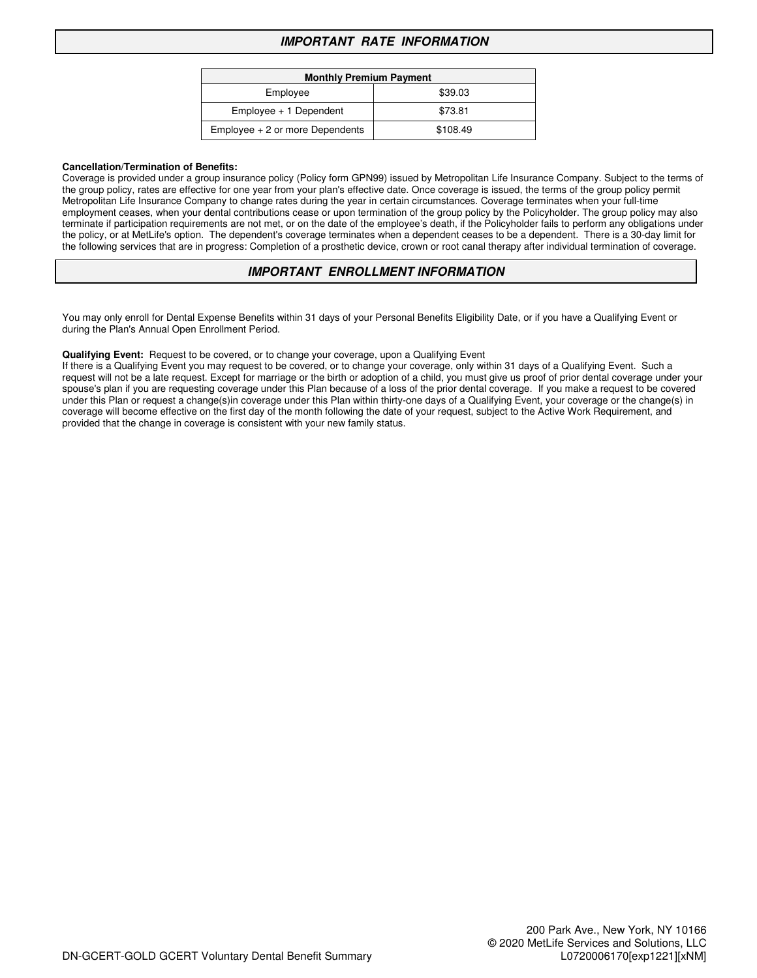# **IMPORTANT RATE INFORMATION**

| <b>Monthly Premium Payment</b>    |          |  |
|-----------------------------------|----------|--|
| Employee                          | \$39.03  |  |
| $Employee + 1 Dependent$          | \$73.81  |  |
| $Employee + 2$ or more Dependents | \$108.49 |  |

#### **Cancellation/Termination of Benefits:**

Coverage is provided under a group insurance policy (Policy form GPN99) issued by Metropolitan Life Insurance Company. Subject to the terms of the group policy, rates are effective for one year from your plan's effective date. Once coverage is issued, the terms of the group policy permit Metropolitan Life Insurance Company to change rates during the year in certain circumstances. Coverage terminates when your full-time employment ceases, when your dental contributions cease or upon termination of the group policy by the Policyholder. The group policy may also terminate if participation requirements are not met, or on the date of the employee's death, if the Policyholder fails to perform any obligations under the policy, or at MetLife's option. The dependent's coverage terminates when a dependent ceases to be a dependent. There is a 30-day limit for the following services that are in progress: Completion of a prosthetic device, crown or root canal therapy after individual termination of coverage.

# **IMPORTANT ENROLLMENT INFORMATION**

You may only enroll for Dental Expense Benefits within 31 days of your Personal Benefits Eligibility Date, or if you have a Qualifying Event or during the Plan's Annual Open Enrollment Period.

#### **Qualifying Event:** Request to be covered, or to change your coverage, upon a Qualifying Event

If there is a Qualifying Event you may request to be covered, or to change your coverage, only within 31 days of a Qualifying Event. Such a request will not be a late request. Except for marriage or the birth or adoption of a child, you must give us proof of prior dental coverage under your spouse's plan if you are requesting coverage under this Plan because of a loss of the prior dental coverage. If you make a request to be covered under this Plan or request a change(s)in coverage under this Plan within thirty-one days of a Qualifying Event, your coverage or the change(s) in coverage will become effective on the first day of the month following the date of your request, subject to the Active Work Requirement, and provided that the change in coverage is consistent with your new family status.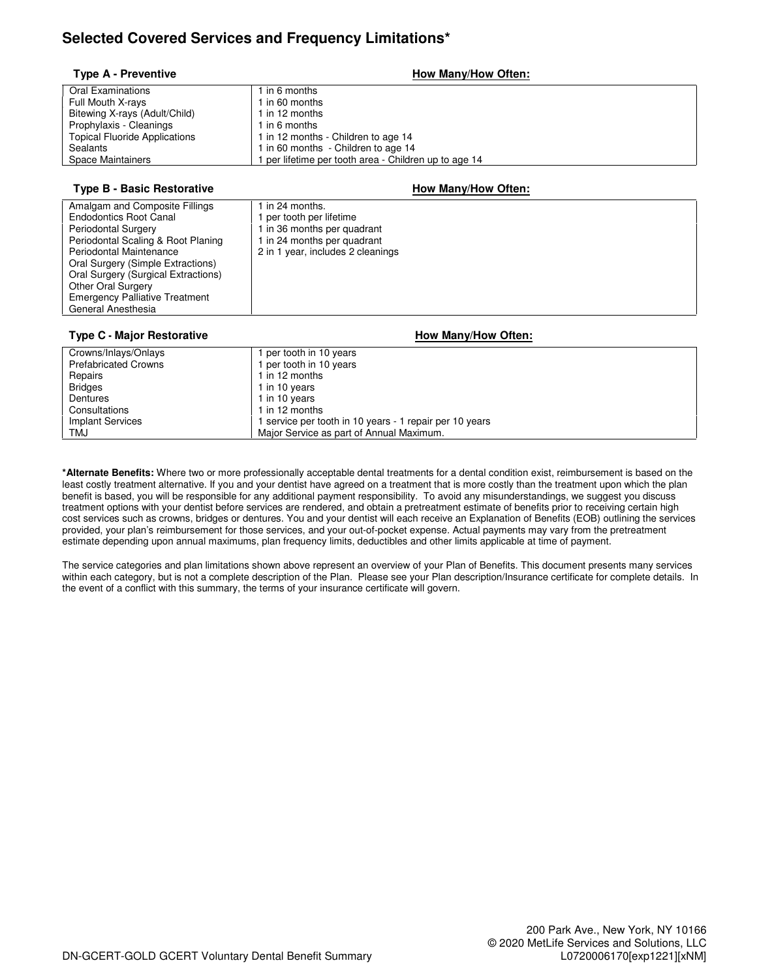# **Selected Covered Services and Frequency Limitations\***

### **Type A - Preventive How Many/How Often:**

| <b>Oral Examinations</b>             | 1 in 6 months                                       |
|--------------------------------------|-----------------------------------------------------|
| Full Mouth X-rays                    | 1 in 60 months                                      |
| Bitewing X-rays (Adult/Child)        | 1 in 12 months                                      |
| Prophylaxis - Cleanings              | 1 in 6 months                                       |
| <b>Topical Fluoride Applications</b> | 1 in 12 months - Children to age 14                 |
| Sealants                             | 1 in 60 months - Children to age 14                 |
| Space Maintainers                    | per lifetime per tooth area - Children up to age 14 |
|                                      |                                                     |

### **Type B - Basic Restorative How Many/How Often:**

| Amalgam and Composite Fillings        | 1 in 24 months.                   |
|---------------------------------------|-----------------------------------|
| <b>Endodontics Root Canal</b>         | per tooth per lifetime            |
| <b>Periodontal Surgery</b>            | 1 in 36 months per quadrant       |
| Periodontal Scaling & Root Planing    | 1 in 24 months per quadrant       |
| Periodontal Maintenance               | 2 in 1 year, includes 2 cleanings |
| Oral Surgery (Simple Extractions)     |                                   |
| Oral Surgery (Surgical Extractions)   |                                   |
| <b>Other Oral Surgery</b>             |                                   |
| <b>Emergency Palliative Treatment</b> |                                   |
| General Anesthesia                    |                                   |

### **Type C - Major Restorative How Many/How Often:**

#### Crowns/Inlays/Onlays<br>
Prefabricated Crowns<br>
1 per tooth in 10 years Prefabricated Crowns 1 per tooth in 10 years<br>
1 per tooth in 10 years<br>
1 in 12 months  $1$  in 12 months Bridges 1 in 10 years<br>Dentures 1 in 10 years<br>1 in 10 years 1 in 10 years Consultations 1 in 12 months<br>
Implant Services 1 service per to Implant Services 1 service per tooth in 10 years - 1 repair per 10 years - 1 repair per 10 years - 1 repair per 10 years - 1 repair per 10 years - 1 repair per 10 years - 1 repair per 10 years - 1 repair per 10 years - 1 r Major Service as part of Annual Maximum.

**\*Alternate Benefits:** Where two or more professionally acceptable dental treatments for a dental condition exist, reimbursement is based on the least costly treatment alternative. If you and your dentist have agreed on a treatment that is more costly than the treatment upon which the plan benefit is based, you will be responsible for any additional payment responsibility. To avoid any misunderstandings, we suggest you discuss treatment options with your dentist before services are rendered, and obtain a pretreatment estimate of benefits prior to receiving certain high cost services such as crowns, bridges or dentures. You and your dentist will each receive an Explanation of Benefits (EOB) outlining the services provided, your plan's reimbursement for those services, and your out-of-pocket expense. Actual payments may vary from the pretreatment estimate depending upon annual maximums, plan frequency limits, deductibles and other limits applicable at time of payment.

The service categories and plan limitations shown above represent an overview of your Plan of Benefits. This document presents many services within each category, but is not a complete description of the Plan. Please see your Plan description/Insurance certificate for complete details. In the event of a conflict with this summary, the terms of your insurance certificate will govern.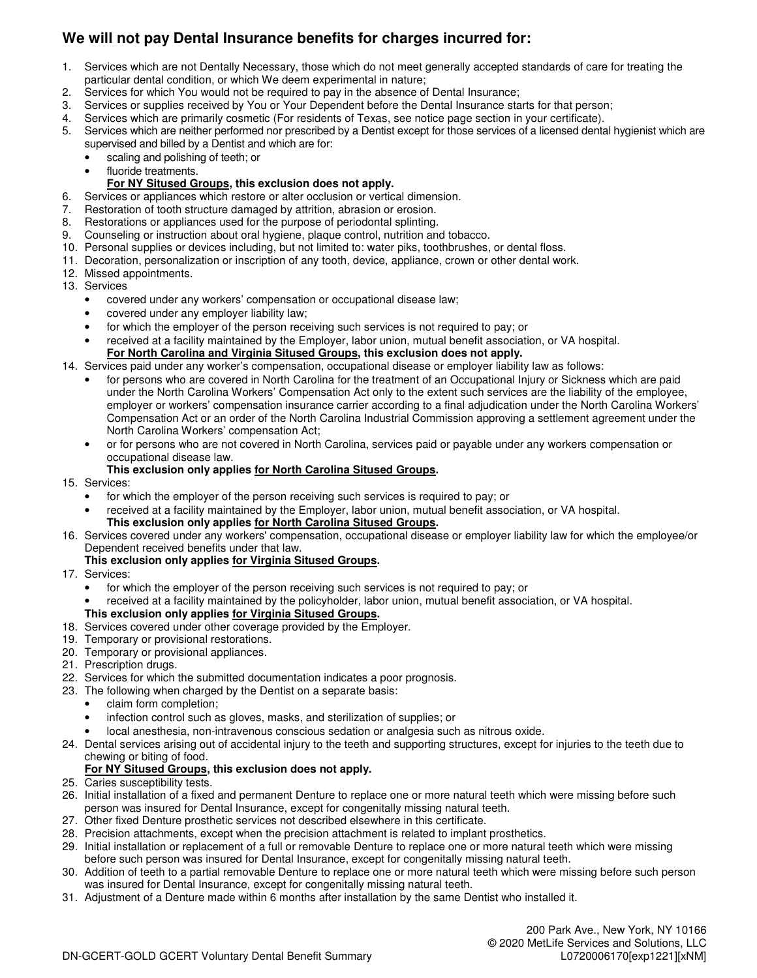# **We will not pay Dental Insurance benefits for charges incurred for:**

- 1. Services which are not Dentally Necessary, those which do not meet generally accepted standards of care for treating the particular dental condition, or which We deem experimental in nature;
- 2. Services for which You would not be required to pay in the absence of Dental Insurance;
- 3. Services or supplies received by You or Your Dependent before the Dental Insurance starts for that person;
- 4. Services which are primarily cosmetic (For residents of Texas, see notice page section in your certificate).
- 5. Services which are neither performed nor prescribed by a Dentist except for those services of a licensed dental hygienist which are supervised and billed by a Dentist and which are for:
	- scaling and polishing of teeth; or
	- fluoride treatments.

# **For NY Sitused Groups, this exclusion does not apply.**

- 6. Services or appliances which restore or alter occlusion or vertical dimension.
- 7. Restoration of tooth structure damaged by attrition, abrasion or erosion.
- 8. Restorations or appliances used for the purpose of periodontal splinting.
- 9. Counseling or instruction about oral hygiene, plaque control, nutrition and tobacco.
- 10. Personal supplies or devices including, but not limited to: water piks, toothbrushes, or dental floss.
- 11. Decoration, personalization or inscription of any tooth, device, appliance, crown or other dental work.
- 12. Missed appointments.
- 13. Services
	- covered under any workers' compensation or occupational disease law;
	- covered under any employer liability law;
	- for which the employer of the person receiving such services is not required to pay; or
	- received at a facility maintained by the Employer, labor union, mutual benefit association, or VA hospital. **For North Carolina and Virginia Sitused Groups, this exclusion does not apply.**

# 14. Services paid under any worker's compensation, occupational disease or employer liability law as follows:

- for persons who are covered in North Carolina for the treatment of an Occupational Injury or Sickness which are paid under the North Carolina Workers' Compensation Act only to the extent such services are the liability of the employee, employer or workers' compensation insurance carrier according to a final adjudication under the North Carolina Workers' Compensation Act or an order of the North Carolina Industrial Commission approving a settlement agreement under the North Carolina Workers' compensation Act;
- or for persons who are not covered in North Carolina, services paid or payable under any workers compensation or occupational disease law.

# **This exclusion only applies for North Carolina Sitused Groups.**

- 15. Services:
	- for which the employer of the person receiving such services is required to pay; or
	- received at a facility maintained by the Employer, labor union, mutual benefit association, or VA hospital. **This exclusion only applies for North Carolina Sitused Groups.**
- 16. Services covered under any workers' compensation, occupational disease or employer liability law for which the employee/or Dependent received benefits under that law.

### **This exclusion only applies for Virginia Sitused Groups.**

- 17. Services:
	- for which the employer of the person receiving such services is not required to pay; or
	- received at a facility maintained by the policyholder, labor union, mutual benefit association, or VA hospital.

# **This exclusion only applies for Virginia Sitused Groups.**

- 18. Services covered under other coverage provided by the Employer.
- 19. Temporary or provisional restorations.
- 20. Temporary or provisional appliances.
- 21. Prescription drugs.
- 22. Services for which the submitted documentation indicates a poor prognosis.
- 23. The following when charged by the Dentist on a separate basis:
	- claim form completion;
	- infection control such as gloves, masks, and sterilization of supplies; or
	- local anesthesia, non-intravenous conscious sedation or analgesia such as nitrous oxide.
- 24. Dental services arising out of accidental injury to the teeth and supporting structures, except for injuries to the teeth due to chewing or biting of food.

# **For NY Sitused Groups, this exclusion does not apply.**

- 25. Caries susceptibility tests.
- 26. Initial installation of a fixed and permanent Denture to replace one or more natural teeth which were missing before such person was insured for Dental Insurance, except for congenitally missing natural teeth.
- 27. Other fixed Denture prosthetic services not described elsewhere in this certificate.
- 28. Precision attachments, except when the precision attachment is related to implant prosthetics.
- 29. Initial installation or replacement of a full or removable Denture to replace one or more natural teeth which were missing before such person was insured for Dental Insurance, except for congenitally missing natural teeth.
- 30. Addition of teeth to a partial removable Denture to replace one or more natural teeth which were missing before such person was insured for Dental Insurance, except for congenitally missing natural teeth.
- 31. Adjustment of a Denture made within 6 months after installation by the same Dentist who installed it.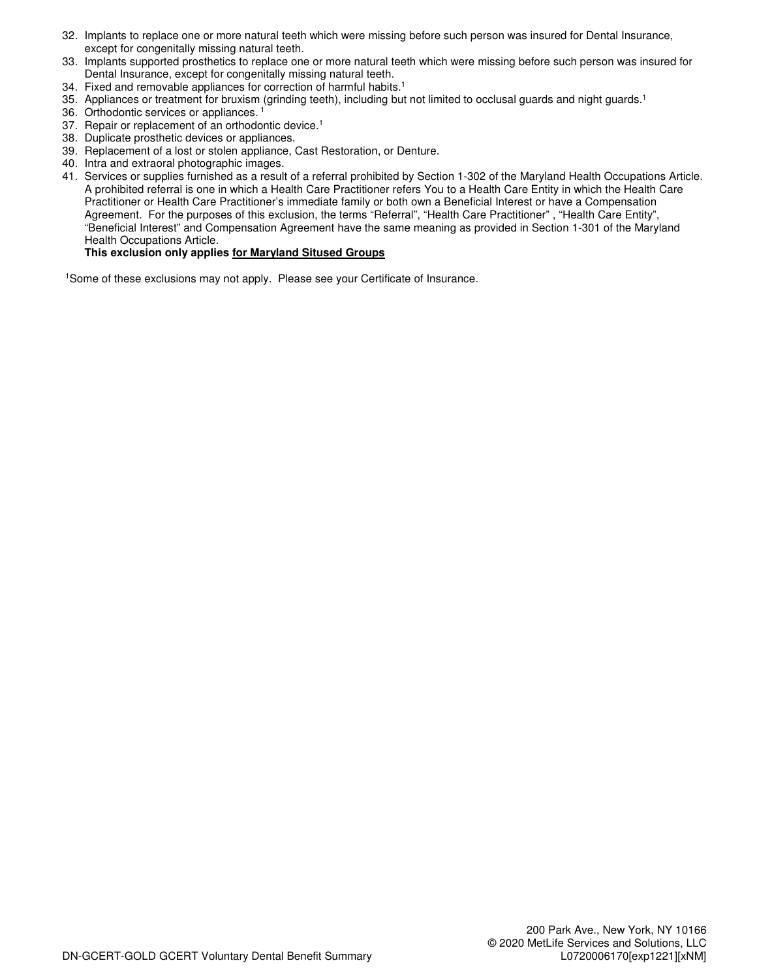- 32. Implants to replace one or more natural teeth which were missing before such person was insured for Dental Insurance, except for congenitally missing natural teeth.
- 33. Implants supported prosthetics to replace one or more natural teeth which were missing before such person was insured for Dental Insurance, except for congenitally missing natural teeth.
- 34. Fixed and removable appliances for correction of harmful habits.<sup>1</sup>
- 35. Appliances or treatment for bruxism (grinding teeth), including but not limited to occlusal guards and night guards.<sup>1</sup>
- 36. Orthodontic services or appliances.<sup>1</sup>
- 37. Repair or replacement of an orthodontic device.<sup>1</sup>
- 38. Duplicate prosthetic devices or appliances.
- 39. Replacement of a lost or stolen appliance, Cast Restoration, or Denture.
- 40. Intra and extraoral photographic images.
- 41. Services or supplies furnished as a result of a referral prohibited by Section 1-302 of the Maryland Health Occupations Article. A prohibited referral is one in which a Health Care Practitioner refers You to a Health Care Entity in which the Health Care Practitioner or Health Care Practitioner's immediate family or both own a Beneficial Interest or have a Compensation Agreement. For the purposes of this exclusion, the terms "Referral", "Health Care Practitioner", "Health Care Entity", "Beneficial Interest" and Compensation Agreement have the same meaning as provided in Section 1-301 of the Maryland Health Occupations Article.

# **This exclusion only applies for Maryland Sitused Groups**

1Some of these exclusions may not apply. Please see your Certificate of Insurance.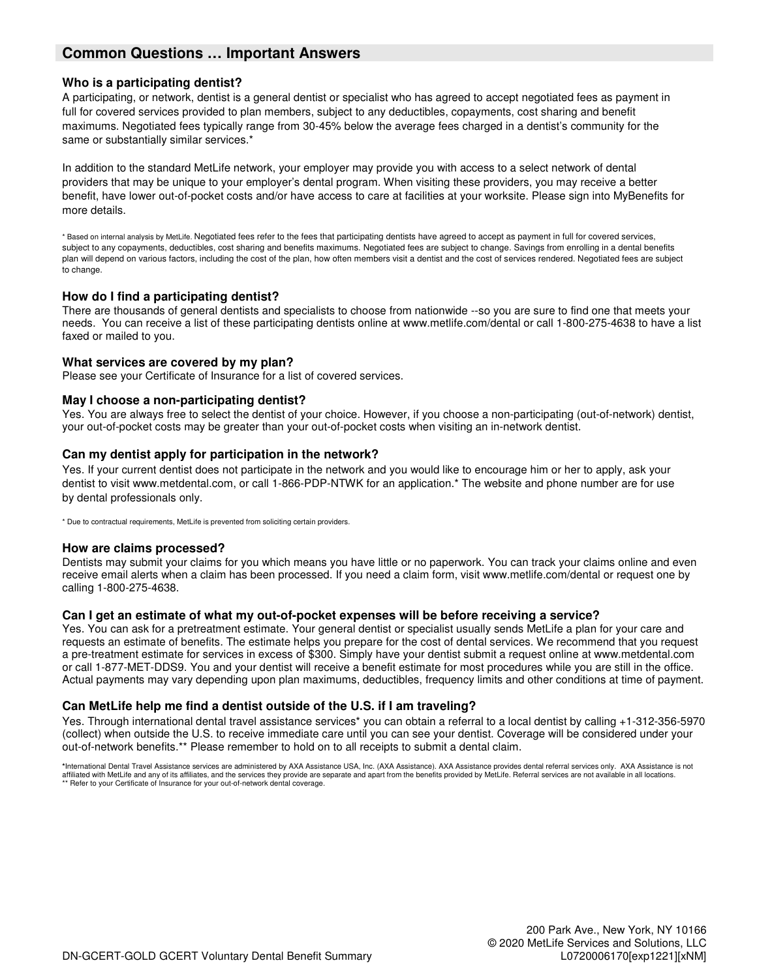# **Common Questions … Important Answers**

# **Who is a participating dentist?**

A participating, or network, dentist is a general dentist or specialist who has agreed to accept negotiated fees as payment in full for covered services provided to plan members, subject to any deductibles, copayments, cost sharing and benefit maximums. Negotiated fees typically range from 30-45% below the average fees charged in a dentist's community for the same or substantially similar services.\*

In addition to the standard MetLife network, your employer may provide you with access to a select network of dental providers that may be unique to your employer's dental program. When visiting these providers, you may receive a better benefit, have lower out-of-pocket costs and/or have access to care at facilities at your worksite. Please sign into MyBenefits for more details.

\* Based on internal analysis by MetLife. Negotiated fees refer to the fees that participating dentists have agreed to accept as payment in full for covered services, subject to any copayments, deductibles, cost sharing and benefits maximums. Negotiated fees are subject to change. Savings from enrolling in a dental benefits plan will depend on various factors, including the cost of the plan, how often members visit a dentist and the cost of services rendered. Negotiated fees are subject to change.

## **How do I find a participating dentist?**

There are thousands of general dentists and specialists to choose from nationwide --so you are sure to find one that meets your needs. You can receive a list of these participating dentists online at www.metlife.com/dental or call 1-800-275-4638 to have a list faxed or mailed to you.

## **What services are covered by my plan?**

Please see your Certificate of Insurance for a list of covered services.

## **May I choose a non-participating dentist?**

Yes. You are always free to select the dentist of your choice. However, if you choose a non-participating (out-of-network) dentist, your out-of-pocket costs may be greater than your out-of-pocket costs when visiting an in-network dentist.

## **Can my dentist apply for participation in the network?**

Yes. If your current dentist does not participate in the network and you would like to encourage him or her to apply, ask your dentist to visit www.metdental.com, or call 1-866-PDP-NTWK for an application.\* The website and phone number are for use by dental professionals only.

\* Due to contractual requirements, MetLife is prevented from soliciting certain providers.

### **How are claims processed?**

Dentists may submit your claims for you which means you have little or no paperwork. You can track your claims online and even receive email alerts when a claim has been processed. If you need a claim form, visit www.metlife.com/dental or request one by calling 1-800-275-4638.

### **Can I get an estimate of what my out-of-pocket expenses will be before receiving a service?**

Yes. You can ask for a pretreatment estimate. Your general dentist or specialist usually sends MetLife a plan for your care and requests an estimate of benefits. The estimate helps you prepare for the cost of dental services. We recommend that you request a pre-treatment estimate for services in excess of \$300. Simply have your dentist submit a request online at www.metdental.com or call 1-877-MET-DDS9. You and your dentist will receive a benefit estimate for most procedures while you are still in the office. Actual payments may vary depending upon plan maximums, deductibles, frequency limits and other conditions at time of payment.

# **Can MetLife help me find a dentist outside of the U.S. if I am traveling?**

Yes. Through international dental travel assistance services\* you can obtain a referral to a local dentist by calling +1-312-356-5970 (collect) when outside the U.S. to receive immediate care until you can see your dentist. Coverage will be considered under your out-of-network benefits.\*\* Please remember to hold on to all receipts to submit a dental claim.

**\***International Dental Travel Assistance services are administered by AXA Assistance USA, Inc. (AXA Assistance). AXA Assistance provides dental referral services only. AXA Assistance is not affiliated with MetLife and any of its affiliates, and the services they provide are separate and apart from the benefits provided by MetLife. Referral services are not available in all locations.<br>\*\* Refer to your Certific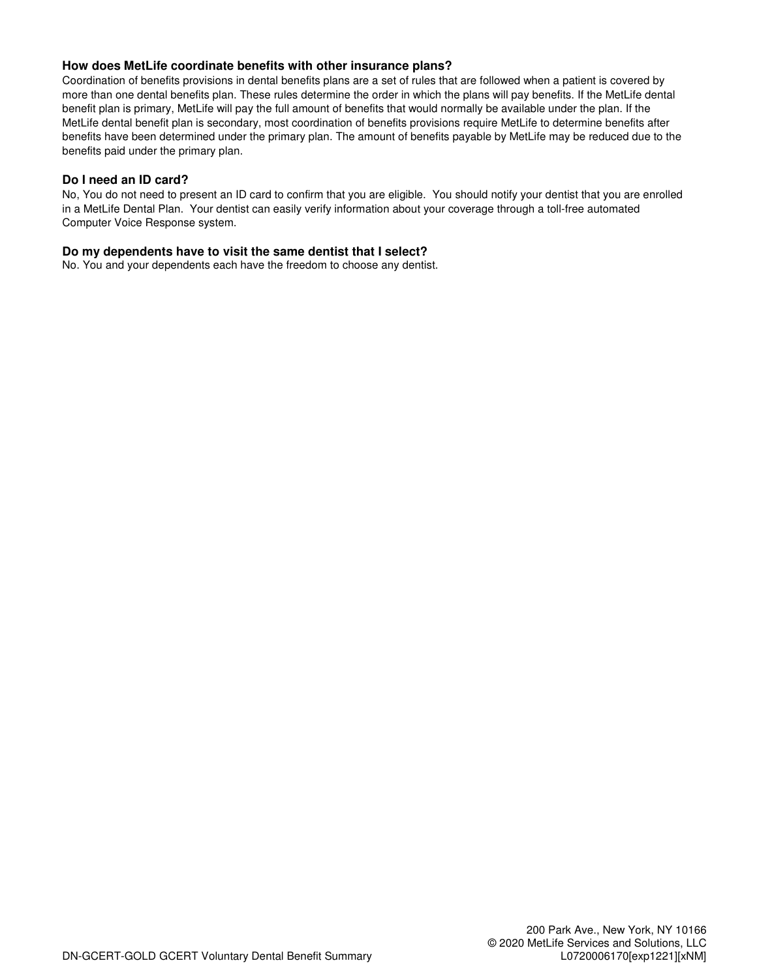# **How does MetLife coordinate benefits with other insurance plans?**

Coordination of benefits provisions in dental benefits plans are a set of rules that are followed when a patient is covered by more than one dental benefits plan. These rules determine the order in which the plans will pay benefits. If the MetLife dental benefit plan is primary, MetLife will pay the full amount of benefits that would normally be available under the plan. If the MetLife dental benefit plan is secondary, most coordination of benefits provisions require MetLife to determine benefits after benefits have been determined under the primary plan. The amount of benefits payable by MetLife may be reduced due to the benefits paid under the primary plan.

## **Do I need an ID card?**

No, You do not need to present an ID card to confirm that you are eligible. You should notify your dentist that you are enrolled in a MetLife Dental Plan. Your dentist can easily verify information about your coverage through a toll-free automated Computer Voice Response system.

# **Do my dependents have to visit the same dentist that I select?**

No. You and your dependents each have the freedom to choose any dentist.